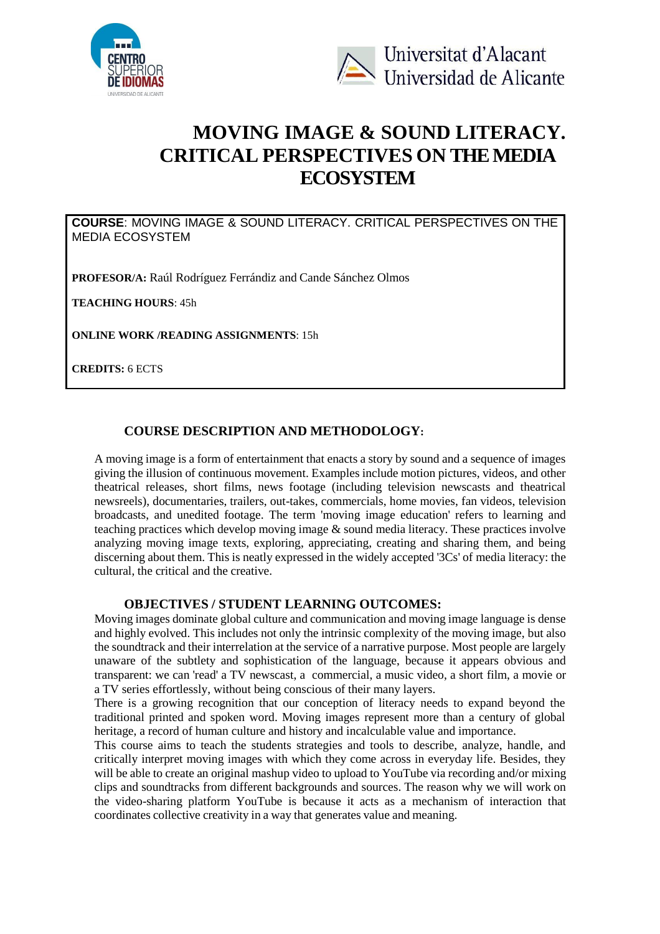



# **MOVING IMAGE & SOUND LITERACY. CRITICAL PERSPECTIVES ON THE MEDIA ECOSYSTEM**

**COURSE**: MOVING IMAGE & SOUND LITERACY. CRITICAL PERSPECTIVES ON THE MEDIA ECOSYSTEM

**PROFESOR/A:** Raúl Rodríguez Ferrándiz and Cande Sánchez Olmos

**TEACHING HOURS**: 45h

**ONLINE WORK /READING ASSIGNMENTS**: 15h

**CREDITS:** 6 ECTS

# **COURSE DESCRIPTION AND METHODOLOGY:**

A moving image is a form of entertainment that enacts a story by sound and a sequence of images giving the illusion of continuous movement. Examples include motion pictures, videos, and other theatrical releases, short films, news footage (including television newscasts and theatrical newsreels), documentaries, trailers, out-takes, commercials, home movies, fan videos, television broadcasts, and unedited footage. The term 'moving image education' refers to learning and teaching practices which develop moving image & sound media literacy. These practices involve analyzing moving image texts, exploring, appreciating, creating and sharing them, and being discerning about them. This is neatly expressed in the widely accepted '3Cs' of media literacy: the cultural, the critical and the creative.

## **OBJECTIVES / STUDENT LEARNING OUTCOMES:**

Moving images dominate global culture and communication and moving image language is dense and highly evolved. This includes not only the intrinsic complexity of the moving image, but also the soundtrack and their interrelation at the service of a narrative purpose. Most people are largely unaware of the subtlety and sophistication of the language, because it appears obvious and transparent: we can 'read' a TV newscast, a commercial, a music video, a short film, a movie or a TV series effortlessly, without being conscious of their many layers.

There is a growing recognition that our conception of literacy needs to expand beyond the traditional printed and spoken word. Moving images represent more than a century of global heritage, a record of human culture and history and incalculable value and importance.

This course aims to teach the students strategies and tools to describe, analyze, handle, and critically interpret moving images with which they come across in everyday life. Besides, they will be able to create an original mashup video to upload to YouTube via recording and/or mixing clips and soundtracks from different backgrounds and sources. The reason why we will work on the video-sharing platform YouTube is because it acts as a mechanism of interaction that coordinates collective creativity in a way that generates value and meaning.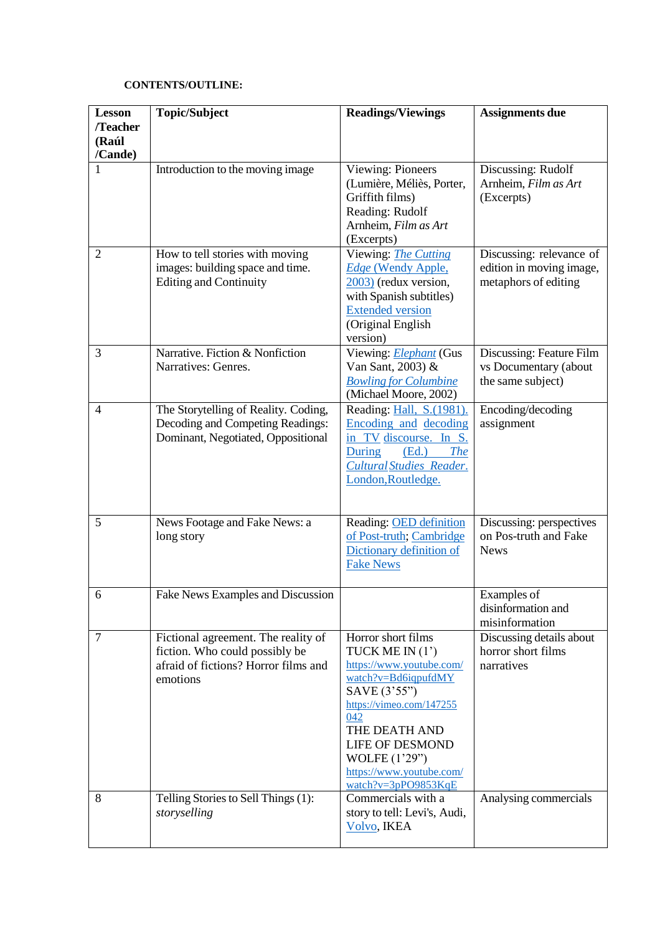## **CONTENTS/OUTLINE:**

| <b>Lesson</b>                | <b>Topic/Subject</b>                                                                                                      | <b>Readings/Viewings</b>                                                                                                                                                                                                                                     | Assignments due                                                              |
|------------------------------|---------------------------------------------------------------------------------------------------------------------------|--------------------------------------------------------------------------------------------------------------------------------------------------------------------------------------------------------------------------------------------------------------|------------------------------------------------------------------------------|
| /Teacher<br>(Raúl<br>/Cande) |                                                                                                                           |                                                                                                                                                                                                                                                              |                                                                              |
|                              | Introduction to the moving image                                                                                          | Viewing: Pioneers<br>(Lumière, Méliès, Porter,<br>Griffith films)<br>Reading: Rudolf<br>Arnheim, Film as Art<br>(Excerpts)                                                                                                                                   | Discussing: Rudolf<br>Arnheim, Film as Art<br>(Excerpts)                     |
| $\overline{2}$               | How to tell stories with moving<br>images: building space and time.<br><b>Editing and Continuity</b>                      | Viewing: <i>The Cutting</i><br><b>Edge (Wendy Apple,</b><br>$2003$ (redux version,<br>with Spanish subtitles)<br><b>Extended version</b><br>(Original English<br>version)                                                                                    | Discussing: relevance of<br>edition in moving image,<br>metaphors of editing |
| 3                            | Narrative. Fiction & Nonfiction<br>Narratives: Genres.                                                                    | Viewing: Elephant (Gus<br>Van Sant, 2003) &<br><b>Bowling for Columbine</b><br>(Michael Moore, 2002)                                                                                                                                                         | Discussing: Feature Film<br>vs Documentary (about<br>the same subject)       |
| $\overline{4}$               | The Storytelling of Reality. Coding,<br>Decoding and Competing Readings:<br>Dominant, Negotiated, Oppositional            | Reading: Hall, S.(1981).<br>Encoding and decoding<br>TV discourse. In S.<br>in<br><b>The</b><br>During<br>(Ed.)<br><b>Cultural Studies Reader.</b><br>London, Routledge.                                                                                     | Encoding/decoding<br>assignment                                              |
| 5                            | News Footage and Fake News: a<br>long story                                                                               | Reading: OED definition<br>of Post-truth; Cambridge<br>Dictionary definition of<br><b>Fake News</b>                                                                                                                                                          | Discussing: perspectives<br>on Pos-truth and Fake<br><b>News</b>             |
| 6                            | Fake News Examples and Discussion                                                                                         |                                                                                                                                                                                                                                                              | Examples of<br>disinformation and<br>misinformation                          |
| 7                            | Fictional agreement. The reality of<br>fiction. Who could possibly be<br>afraid of fictions? Horror films and<br>emotions | Horror short films<br>TUCK ME IN $(1')$<br>https://www.youtube.com/<br>watch?v=Bd6iqpufdMY<br>SAVE (3'55")<br>https://vimeo.com/147255<br>042<br>THE DEATH AND<br><b>LIFE OF DESMOND</b><br>WOLFE (1'29")<br>https://www.youtube.com/<br>watch?v=3pPO9853KqE | Discussing details about<br>horror short films<br>narratives                 |
| 8                            | Telling Stories to Sell Things (1):<br>storyselling                                                                       | Commercials with a<br>story to tell: Levi's, Audi,<br>Volvo, IKEA                                                                                                                                                                                            | Analysing commercials                                                        |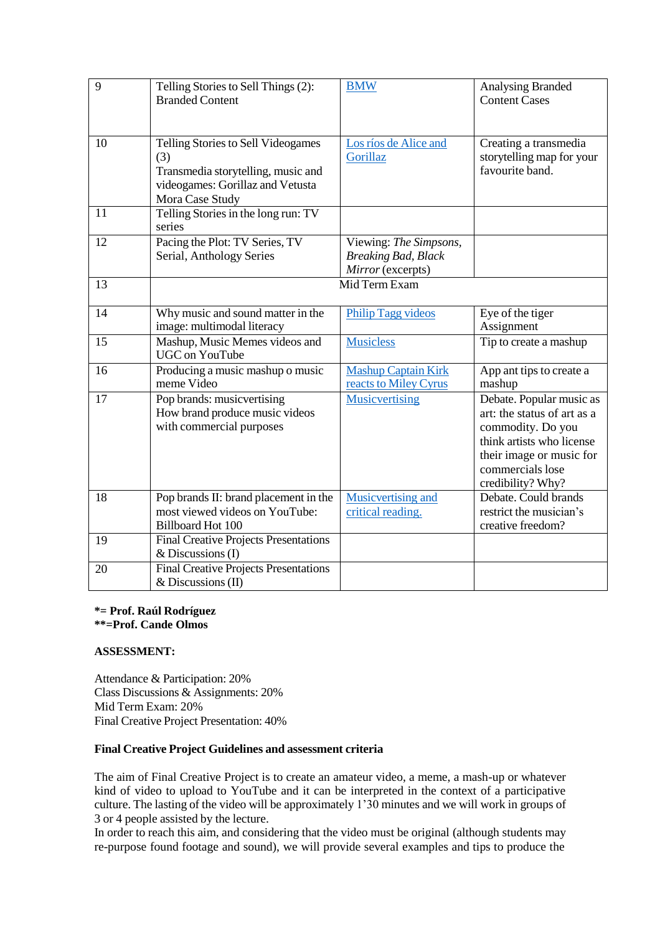| 9  | Telling Stories to Sell Things (2):<br><b>Branded Content</b>                                                                          | <b>BMW</b>                                                                | Analysing Branded<br><b>Content Cases</b>                                                                                                                                      |
|----|----------------------------------------------------------------------------------------------------------------------------------------|---------------------------------------------------------------------------|--------------------------------------------------------------------------------------------------------------------------------------------------------------------------------|
| 10 | Telling Stories to Sell Videogames<br>(3)<br>Transmedia storytelling, music and<br>videogames: Gorillaz and Vetusta<br>Mora Case Study | Los ríos de Alice and<br>Gorillaz                                         | Creating a transmedia<br>storytelling map for your<br>favourite band.                                                                                                          |
| 11 | Telling Stories in the long run: TV<br>series                                                                                          |                                                                           |                                                                                                                                                                                |
| 12 | Pacing the Plot: TV Series, TV<br>Serial, Anthology Series                                                                             | Viewing: The Simpsons,<br><b>Breaking Bad, Black</b><br>Mirror (excerpts) |                                                                                                                                                                                |
| 13 | Mid Term Exam                                                                                                                          |                                                                           |                                                                                                                                                                                |
| 14 | Why music and sound matter in the<br>image: multimodal literacy                                                                        | <b>Philip Tagg videos</b>                                                 | Eye of the tiger<br>Assignment                                                                                                                                                 |
| 15 | Mashup, Music Memes videos and<br><b>UGC</b> on YouTube                                                                                | <b>Musicless</b>                                                          | Tip to create a mashup                                                                                                                                                         |
| 16 | Producing a music mashup o music<br>meme Video                                                                                         | <b>Mashup Captain Kirk</b><br>reacts to Miley Cyrus                       | App ant tips to create a<br>mashup                                                                                                                                             |
| 17 | Pop brands: musicvertising<br>How brand produce music videos<br>with commercial purposes                                               | <b>Musicvertising</b>                                                     | Debate. Popular music as<br>art: the status of art as a<br>commodity. Do you<br>think artists who license<br>their image or music for<br>commercials lose<br>credibility? Why? |
| 18 | Pop brands II: brand placement in the<br>most viewed videos on YouTube:<br><b>Billboard Hot 100</b>                                    | Musicvertising and<br>critical reading.                                   | Debate. Could brands<br>restrict the musician's<br>creative freedom?                                                                                                           |
| 19 | <b>Final Creative Projects Presentations</b><br>$&$ Discussions (I)                                                                    |                                                                           |                                                                                                                                                                                |
| 20 | <b>Final Creative Projects Presentations</b><br>$&$ Discussions (II)                                                                   |                                                                           |                                                                                                                                                                                |

#### **\*= Prof. Raúl Rodríguez \*\*=Prof. Cande Olmos**

## **ASSESSMENT:**

Attendance & Participation: 20% Class Discussions & Assignments: 20% Mid Term Exam: 20% Final Creative Project Presentation: 40%

## **Final Creative Project Guidelines and assessment criteria**

The aim of Final Creative Project is to create an amateur video, a meme, a mash-up or whatever kind of video to upload to YouTube and it can be interpreted in the context of a participative culture. The lasting of the video will be approximately 1'30 minutes and we will work in groups of 3 or 4 people assisted by the lecture.

In order to reach this aim, and considering that the video must be original (although students may re-purpose found footage and sound), we will provide several examples and tips to produce the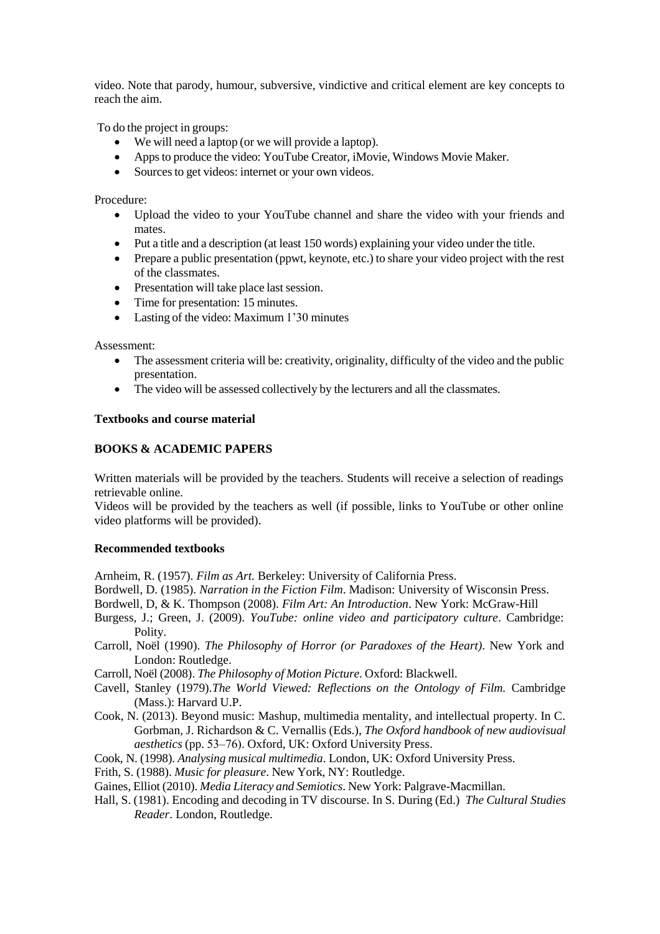video. Note that parody, humour, subversive, vindictive and critical element are key concepts to reach the aim.

To do the project in groups:

- We will need a laptop (or we will provide a laptop).
- Apps to produce the video: YouTube Creator, iMovie, Windows Movie Maker.
- Sources to get videos: internet or your own videos.

Procedure:

- Upload the video to your YouTube channel and share the video with your friends and mates.
- Put a title and a description (at least 150 words) explaining your video under the title.
- Prepare a public presentation (ppwt, keynote, etc.) to share your video project with the rest of the classmates.
- Presentation will take place last session.
- Time for presentation: 15 minutes.
- Lasting of the video: Maximum 1'30 minutes

Assessment:

- The assessment criteria will be: creativity, originality, difficulty of the video and the public presentation.
- The video will be assessed collectively by the lecturers and all the classmates.

#### **Textbooks and course material**

#### **BOOKS & ACADEMIC PAPERS**

Written materials will be provided by the teachers. Students will receive a selection of readings retrievable online.

Videos will be provided by the teachers as well (if possible, links to YouTube or other online video platforms will be provided).

## **Recommended textbooks**

Arnheim, R. (1957). *Film as Art.* Berkeley: University of California Press.

Bordwell, D. (1985). *Narration in the Fiction Film*. Madison: University of Wisconsin Press.

Bordwell, D, & K. Thompson (2008). *Film Art: An Introduction*. New York: McGraw-Hill

- Burgess, J.; Green, J. (2009). *YouTube: online video and participatory culture*. Cambridge: Polity.
- Carroll, Noël (1990). *The Philosophy of Horror (or Paradoxes of the Heart)*. New York and London: Routledge.
- Carroll, Noël (2008). *The Philosophy of Motion Picture*. Oxford: Blackwell.
- Cavell, Stanley (1979).*The World Viewed: Reflections on the Ontology of Film.* Cambridge (Mass.): Harvard U.P.
- Cook, N. (2013). Beyond music: Mashup, multimedia mentality, and intellectual property. In C. Gorbman, J. Richardson & C. Vernallis (Eds.), *The Oxford handbook of new audiovisual aesthetics* (pp. 53–76). Oxford, UK: Oxford University Press.
- Cook, N. (1998). *Analysing musical multimedia*. London, UK: Oxford University Press.
- Frith, S. (1988). *Music for pleasure*. New York, NY: Routledge.

Gaines, Elliot (2010). *Media Literacy and Semiotics*. New York: Palgrave-Macmillan.

Hall, S. (1981). Encoding and decoding in TV discourse. In S. During (Ed.) *The Cultural Studies Reader*. London, Routledge.